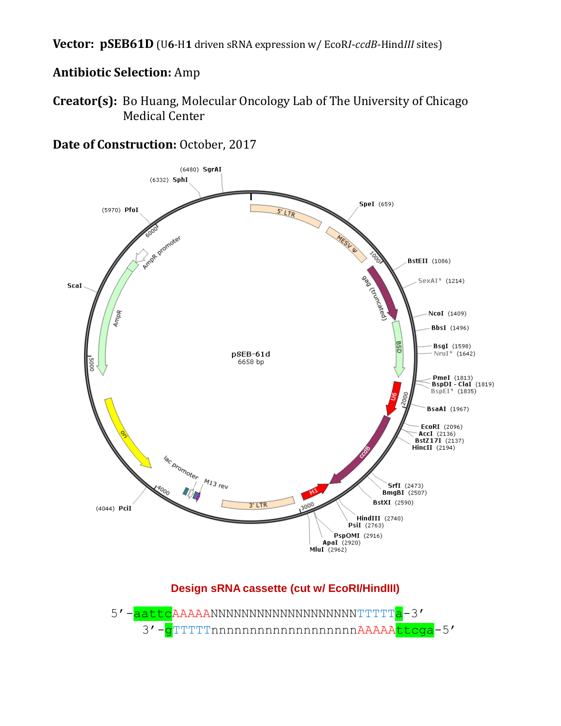**Vector: pSEB61D** (U**6**-H**1** driven sRNA expression w/ EcoR*I*-*ccdB*-Hind*III* sites)

# **Antibiotic Selection:** Amp

**Creator(s):** Bo Huang, Molecular Oncology Lab of The University of Chicago Medical Center



**Date of Construction:** October, 2017

# **Design sRNA cassette (cut w/ EcoRI/HindIII)**

5'-<mark>aattc</mark>AAAAANNNNNNNNNNNNNNNNNNNNTTTT<mark>a</mark>-3' 3'-gTTTTTnnnnnnnnnnnnnnnnnnAAAAAttcga-5'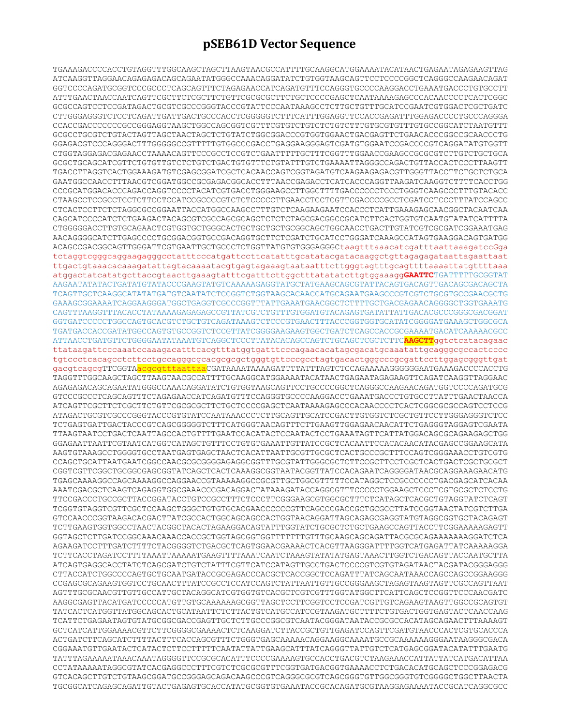## **pSEB61D Vector Sequence**

TGAAAGACCCCACCTGTAGGTTTGGCAAGCTAGCTTAAGTAACGCCATTTTGCAAGGCATGGAAAATACATAACTGAGAATAGAGAAGTTAG ATCAAGGTTAGGAACAGAGAGACAGCAGAATATGGGCCAAACAGGATATCTGTGGTAAGCAGTTCCTCCCCGGCTCAGGGCCAAGAACAGAT GGTCCCCAGATGCGGTCCCGCCCTCAGCAGTTTCTAGAGAACCATCAGATGTTTCCAGGGTGCCCCAAGGACCTGAAATGACCCTGTGCCTT ATTTGAACTAACCAATCAGTTCGCTTCTCGCTTCTGTTCGCGCGCTTCTGCTCCCCGAGCTCAATAAAAGAGCCCACAACCCCTCACTCGGC GCGCCAGTCCTCCGATAGACTGCGTCGCCCGGGTACCCGTATTCCCAATAAAGCCTCTTGCTGTTTGCATCCGAATCGTGGACTCGCTGATC CTTGGGAGGGTCTCCTCAGATTGATTGACTGCCCACCTCGGGGGTCTTTCATTTGGAGGTTCCACCGAGATTTGGAGACCCCTGCCCAGGGA CCACCGACCCCCCCGCCGGGAGGTAAGCTGGCCAGCGGTCGTTTCGTGTCTGTCTCTGTCTTTGTGCGTGTTTGTGCCGGCATCTAATGTTT GCGCCTGCGTCTGTACTAGTTAGCTAACTAGCTCTGTATCTGGCGGACCCGTGGTGGAACTGACGAGTTCTGAACACCCGGCCGCAACCCTG GGAGACGTCCCAGGGACTTTGGGGGCCGTTTTTGTGGCCCGACCTGAGGAAGGGAGTCGATGTGGAATCCGACCCCGTCAGGATATGTGGTT CTGGTAGGAGACGAGAACCTAAAACAGTTCCCGCCTCCGTCTGAATTTTTGCTTTCGGTTTGGAACCGAAGCCGCGCGTCTTGTCTGCTGCA GCGCTGCAGCATCGTTCTGTGTTGTCTCTGTCTGACTGTGTTTCTGTATTTGTCTGAAAATTAGGGCCAGACTGTTACCACTCCCTTAAGTT TGACCTTAGGTCACTGGAAAGATGTCGAGCGGATCGCTCACAACCAGTCGGTAGATGTCAAGAAGAGACGTTGGGTTACCTTCTGCTCTGCA GAATGGCCAACCTTTAACGTCGGATGGCCGCGAGACGGCACCTTTAACCGAGACCTCATCACCCAGGTTAAGATCAAGGTCTTTTCACCTGG CCCGCATGGACACCCAGACCAGGTCCCCTACATCGTGACCTGGGAAGCCTTGGCTTTTGACCCCCCTCCCTGGGTCAAGCCCTTTGTACACC CTAAGCCTCCGCCTCCTCTTCCTCCATCCGCCCCGTCTCTCCCCCTTGAACCTCCTCGTTCGACCCCGCCTCGATCCTCCCTTTATCCAGCC CTCACTCCTTCTCTAGGCGCCGGAATTACCATGGCCAAGCCTTTGTCTCAAGAAGAATCCACCCTCATTGAAAGAGCAACGGCTACAATCAA CAGCATCCCCATCTCTGAAGACTACAGCGTCGCCAGCGCAGCTCTCTCTAGCGACGGCCGCATCTTCACTGGTGTCAATGTATATCATTTTA CTGGGGGACCTTGTGCAGAACTCGTGGTGCTGGGCACTGCTGCTGCTGCGGCAGCTGGCAACCTGACTTGTATCGTCGCGATCGGAAATGAG AACAGGGGCATCTTGAGCCCCTGCGGACGGTGCCGACAGGTGCTTCTCGATCTGCATCCTGGGATCAAAGCCATAGTGAAGGACAGTGATGG ACAGCCGACGGCAGTTGGGATTCGTGAATTGCTGCCCTCTGGTTATGTGTGGGAGGGCtaagtttaaacatcgatttaattaaagatccGga tctaggtcgggcaggaagagggcctatttcccatgattccttcatatttgcatatacgatacaaggctgttagagagataattagaattaat ttgactgtaaacacaaagatattagtacaaaatacgtgagtagaaagtaataatttcttgggtagtttgcagttttaaaattatgttttaaa atggactatcatatgcttaccgtaacttgaaagtatttcgatttcttggctttatatatcttgtggaaagg**GAATTC**TGATTTTTGCGGTAT AAGAATATATACTGATATGTATACCCGAAGTATGTCAAAAAGAGGTATGCTATGAAGCAGCGTATTACAGTGACAGTTGACAGCGACAGCTA TCAGTTGCTCAAGGCATATATGATGTCAATATCTCCGGTCTGGTAAGCACAACCATGCAGAATGAAGCCCGTCGTCTGCGTGCCGAACGCTG GAAAGCGGAAAATCAGGAAGGGATGGCTGAGGTCGCCCGGTTTATTGAAATGAACGGCTCTTTTGCTGACGAGAACAGGGGCTGGTGAAATG CAGTTTAAGGTTTACACCTATAAAAGAGAGAGCCGTTATCGTCTGTTTGTGGATGTACAGAGTGATATTATTGACACGCCCGGGCGACGGAT GGTGATCCCCCTGGCCAGTGCACGTCTGCTGTCAGATAAAGTCTCCCGTGAACTTTACCCGGTGGTGCATATCGGGGATGAAAGCTGGCGCA TGATGACCACCGATATGGCCAGTGTGCCGGTCTCCGTTATCGGGGAAGAAGTGGCTGATCTCAGCCACCGCGAAAATGACATCAAAAACGCC ATTAACCTGATGTTCTGGGGAATATAAATGTCAGGCTCCCTTATACACAGCCAGTCTGCAGCTCGCTCTTC**AAGCTT**ggtctcatacagaac ttataagattcccaaatccaaagacatttcacgtttatggtgatttcccagaacacatagcgacatgcaaatattgcagggcgccactcccc tgtccctcacagcctcttcctgccagggcgcacgcgcgctgggtgttcccgcctagtgacactgggcccgcgattccttggagcgggttgat gacgtcagcgTTCGGTAacgcgtttaattaaCGATAAAATAAAAGATTTTATTTAGTCTCCAGAAAAAGGGGGGAATGAAAGACCCCACCTG TAGGTTTGGCAAGCTAGCTTAAGTAACGCCATTTTGCAAGGCATGGAAAATACATAACTGAGAATAGAGAAGTTCAGATCAAGGTTAGGAAC AGAGAGACAGCAGAATATGGGCCAAACAGGATATCTGTGGTAAGCAGTTCCTGCCCCGGCTCAGGGCCAAGAACAGATGGTCCCCAGATGCG GTCCCGCCCTCAGCAGTTTCTAGAGAACCATCAGATGTTTCCAGGGTGCCCCAAGGACCTGAAATGACCCTGTGCCTTATTTGAACTAACCA ATCAGTTCGCTTCTCGCTTCTGTTCGCGCGCTTCTGCTCCCCGAGCTCAATAAAAGAGCCCACAACCCCTCACTCGGCGCGCCAGTCCTCCG ATAGACTGCGTCGCCCGGGTACCCGTGTATCCAATAAACCCTCTTGCAGTTGCATCCGACTTGTGGTCTCGCTGTTCCTTGGGAGGGTCTCC TCTGAGTGATTGACTACCCGTCAGCGGGGGTCTTTCATGGGTAACAGTTTCTTGAAGTTGGAGAACAACATTCTGAGGGTAGGAGTCGAATA TTAAGTAATCCTGACTCAATTAGCCACTGTTTTGAATCCACATACTCCAATACTCCTGAAATAGTTCATTATGGACAGCGCAGAAGAGCTGG GGAGAATTAATTCGTAATCATGGTCATAGCTGTTTCCTGTGTGAAATTGTTATCCGCTCACAATTCCACACAACATACGAGCCGGAAGCATA AAGTGTAAAGCCTGGGGTGCCTAATGAGTGAGCTAACTCACATTAATTGCGTTGCGCTCACTGCCCGCTTTCCAGTCGGGAAACCTGTCGTG CCAGCTGCATTAATGAATCGGCCAACGCGCGGGGAGAGGCGGTTTGCGTATTGGGCGCTCTTCCGCTTCCTCGCTCACTGACTCGCTGCGCT CGGTCGTTCGGCTGCGGCGAGCGGTATCAGCTCACTCAAAGGCGGTAATACGGTTATCCACAGAATCAGGGGATAACGCAGGAAAGAACATG TGAGCAAAAGGCCAGCAAAAGGCCAGGAACCGTAAAAAGGCCGCGTTGCTGGCGTTTTTCCATAGGCTCCGCCCCCCTGACGAGCATCACAA AAATCGACGCTCAAGTCAGAGGTGGCGAAACCCGACAGGACTATAAAGATACCAGGCGTTTCCCCCTGGAAGCTCCCTCGTGCGCTCTCCTG TTCCGACCCTGCCGCTTACCGGATACCTGTCCGCCTTTCTCCCTTCGGGAAGCGTGGCGCTTTCTCATAGCTCACGCTGTAGGTATCTCAGT TCGGTGTAGGTCGTTCGCTCCAAGCTGGGCTGTGTGCACGAACCCCCCGTTCAGCCCGACCGCTGCGCCTTATCCGGTAACTATCGTCTTGA GTCCAACCCGGTAAGACACGACTTATCGCCACTGGCAGCAGCCACTGGTAACAGGATTAGCAGAGCGAGGTATGTAGGCGGTGCTACAGAGT TCTTGAAGTGGTGGCCTAACTACGGCTACACTAGAAGGACAGTATTTGGTATCTGCGCTCTGCTGAAGCCAGTTACCTTCGGAAAAAGAGTT GGTAGCTCTTGATCCGGCAAACAAACCACCGCTGGTAGCGGTGGTTTTTTTGTTTGCAAGCAGCAGATTACGCGCAGAAAAAAAGGATCTCA AGAAGATCCTTTGATCTTTTCTACGGGGTCTGACGCTCAGTGGAACGAAAACTCACGTTAAGGGATTTTGGTCATGAGATTATCAAAAAGGA TCTTCACCTAGATCCTTTTAAATTAAAAATGAAGTTTTAAATCAATCTAAAGTATATATGAGTAAACTTGGTCTGACAGTTACCAATGCTTA ATCAGTGAGGCACCTATCTCAGCGATCTGTCTATTTCGTTCATCCATAGTTGCCTGACTCCCCGTCGTGTAGATAACTACGATACGGGAGGG CTTACCATCTGGCCCCAGTGCTGCAATGATACCGCGAGACCCACGCTCACCGGCTCCAGATTTATCAGCAATAAACCAGCCAGCCGGAAGGG CCGAGCGCAGAAGTGGTCCTGCAACTTTATCCGCCTCCATCCAGTCTATTAATTGTTGCCGGGAAGCTAGAGTAAGTAGTTCGCCAGTTAAT AGTTTGCGCAACGTTGTTGCCATTGCTACAGGCATCGTGGTGTCACGCTCGTCGTTTGGTATGGCTTCATTCAGCTCCGGTTCCCAACGATC AAGGCGAGTTACATGATCCCCCATGTTGTGCAAAAAAGCGGTTAGCTCCTTCGGTCCTCCGATCGTTGTCAGAAGTAAGTTGGCCGCAGTGT TATCACTCATGGTTATGGCAGCACTGCATAATTCTCTTACTGTCATGCCATCCGTAAGATGCTTTTCTGTGACTGGTGAGTACTCAACCAAG TCATTCTGAGAATAGTGTATGCGGCGACCGAGTTGCTCTTGCCCGGCGTCAATACGGGATAATACCGCGCCACATAGCAGAACTTTAAAAGT GCTCATCATTGGAAAACGTTCTTCGGGGCGAAAACTCTCAAGGATCTTACCGCTGTTGAGATCCAGTTCGATGTAACCCACTCGTGCACCCA ACTGATCTTCAGCATCTTTTACTTTCACCAGCGTTTCTGGGTGAGCAAAAACAGGAAGGCAAAATGCCGCAAAAAAGGGAATAAGGGCGACA CGGAAATGTTGAATACTCATACTCTTCCTTTTTCAATATTATTGAAGCATTTATCAGGGTTATTGTCTCATGAGCGGATACATATTTGAATG TATTTAGAAAAATAAACAAATAGGGGTTCCGCGCACATTTCCCCGAAAAGTGCCACCTGACGTCTAAGAAACCATTATTATCATGACATTAA CCTATAAAAATAGGCGTATCACGAGGCCCTTTCGTCTCGCGCGTTTCGGTGATGACGGTGAAAACCTCTGACACATGCAGCTCCCGGAGACG GTCACAGCTTGTCTGTAAGCGGATGCCGGGAGCAGACAAGCCCGTCAGGGCGCGTCAGCGGGTGTTGGCGGGTGTCGGGGCTGGCTTAACTA TGCGGCATCAGAGCAGATTGTACTGAGAGTGCACCATATGCGGTGTGAAATACCGCACAGATGCGTAAGGAGAAAATACCGCATCAGGCGCC